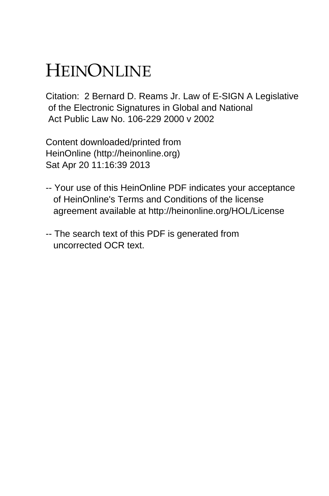# HEINONLINE

Citation: 2 Bernard D. Reams Jr. Law of E-SIGN A Legislative of the Electronic Signatures in Global and National Act Public Law No. 106-229 2000 v 2002

Content downloaded/printed from HeinOnline (http://heinonline.org) Sat Apr 20 11:16:39 2013

- -- Your use of this HeinOnline PDF indicates your acceptance of HeinOnline's Terms and Conditions of the license agreement available at http://heinonline.org/HOL/License
- -- The search text of this PDF is generated from uncorrected OCR text.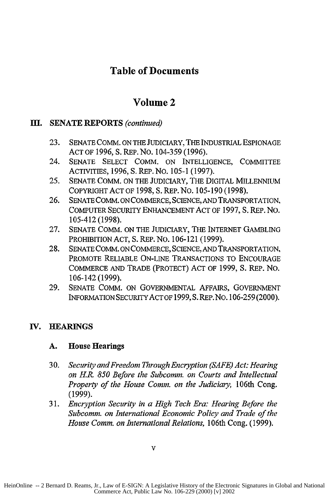## **Table of Documents**

## **Volume 2**

### **m. SENATE REPORTS** *(continued)*

- **23.** SENATE COMM. ON THE JUDICIARY, THE INDUSTRIAL ESPIONAGE ACT OF 1996, S. REP. No. 104-359 (1996).
- 24. SENATE SELECT COMM. ON INTELLIGENCE, COMMITTEE ACTIVITIES, 1996, S. REP.NO. 105-1 (1997).
- *25.* SENATE COMM. ON THE JUDICIARY, THE DIGITAL MILLENNIUM COPYRIGHT ACT OF 1998, S. REP. No. 105-190 (1998).
- 26. SENATE COMM. ON COMMERCE, SCIENCE, AND TRANSPORTATION, COMPUTER SECURITY ENHANCEMENT ACT OF 1997, **S.** REP. No. 105-412 (1998).
- 27. SENATE COMM. ON THE JUDICIARY, THE INTERNET GAMBLING PROHIBITION ACT, S. REP. No. 106-121 (1999).
- 28. SENATE COMM. ON COMMERCE, SCIENCE, **AND** TRANSPORTATION, PROMOTE RELIABLE ON-LINE TRANSACTIONS TO ENCOURAGE COMMERCE AND TRADE (PROTECT) ACT OF 1999, S. REP. No. 106-142 (1999).
- 29. SENATE COMM. ON GOVERNMENTAL AFFAIRS, GOVERNMENT INFORMATION SECURITY ACT OF 1999, S. REP.NO. 106-259 (2000).

#### IV. **BEARINGS**

#### **A.** House Hearings

- 30. *Security and Freedom Through Encryption (SAFE) Act: Hearing on H. 850 Before the Subcomm. on Courts and Intellectual Property of the House Comm. on the Judiciary,* 106th Cong. (1999).
- 31. *Encryption Security in a High Tech Era: Hearing Before the Subcomm. on International Economic Policy and Trade of the House Comm. on International Relations,* 106th Cong. (1999).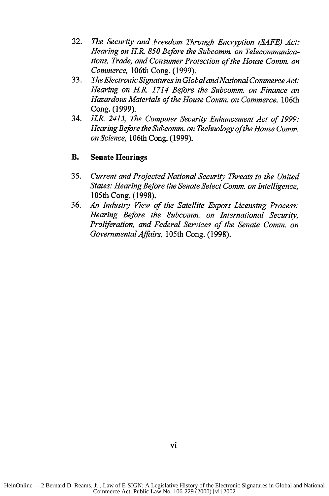- 32. *The Security and Freedom Through Encryption (SAFE) Act: Hearing on H.R 850 Before the Subcomm. on Telecommunications, Trade, and Consumer Protection of the House Comm. on Commerce,* 106th Cong. (1999).
- 33. *The Electronic Signatures in Global andNational CommerceAct: Hearing on H.R 1714 Before the Subcomm. on Finance an Hazardous Materials of the House Comm. on Commerce.* 106th Cong. (1999).
- 34. *H.R. 2413, The Computer Security Enhancement Act of 1999: Hearing Before the Subcomm. on Technology of the House Comm. on Science,* 106th Cong. (1999).

#### B. Senate Hearings

- *35. Current and Projected National Security Threats to the United States: Hearing Before the Senate Select Comm. on Intelligence,* 105th Cong. (1998).
- 36. *An Industry View of the Satellite Export Licensing Process: Hearing Before the Subcomm. on International Security, Proliferation, and Federal Services of the Senate Comm. on Governmental Affairs,* 105th Cong. (1998).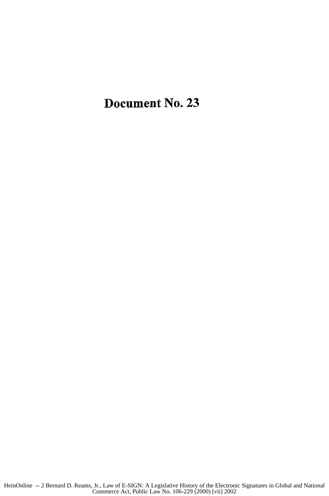Document No. **23**